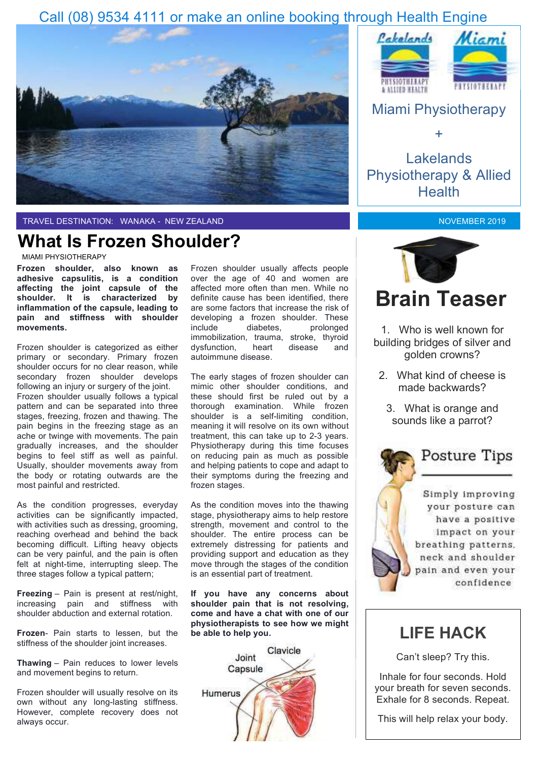### Call (08) 9534 4111 or make an online booking through Health Engine



TRAVEL DESTINATION: WANAKA - NEW ZEALAND

## **What Is Frozen Shoulder?**

MIAMI PHYSIOTHERAPY

**Frozen shoulder, also known as adhesive capsulitis, is a condition affecting the joint capsule of the shoulder. It is characterized by inflammation of the capsule, leading to pain and stiffness with shoulder movements.** 

Frozen shoulder is categorized as either primary or secondary. Primary frozen shoulder occurs for no clear reason, while secondary frozen shoulder develops following an injury or surgery of the joint. Frozen shoulder usually follows a typical pattern and can be separated into three stages, freezing, frozen and thawing. The pain begins in the freezing stage as an ache or twinge with movements. The pain gradually increases, and the shoulder begins to feel stiff as well as painful. Usually, shoulder movements away from the body or rotating outwards are the most painful and restricted.

As the condition progresses, everyday activities can be significantly impacted, with activities such as dressing, grooming, reaching overhead and behind the back becoming difficult. Lifting heavy objects can be very painful, and the pain is often felt at night-time, interrupting sleep. The three stages follow a typical pattern;

**Freezing** – Pain is present at rest/night, increasing pain and stiffness with shoulder abduction and external rotation.

**Frozen**- Pain starts to lessen, but the stiffness of the shoulder joint increases.

**Thawing** – Pain reduces to lower levels and movement begins to return.

Frozen shoulder will usually resolve on its own without any long-lasting stiffness. However, complete recovery does not always occur.

Frozen shoulder usually affects people over the age of 40 and women are affected more often than men. While no definite cause has been identified, there are some factors that increase the risk of developing a frozen shoulder. These include diabetes, prolonged immobilization, trauma, stroke, thyroid dysfunction, heart disease and autoimmune disease.

The early stages of frozen shoulder can mimic other shoulder conditions, and these should first be ruled out by a thorough examination. While frozen shoulder is a self-limiting condition, meaning it will resolve on its own without treatment, this can take up to 2-3 years. Physiotherapy during this time focuses on reducing pain as much as possible and helping patients to cope and adapt to their symptoms during the freezing and frozen stages.

As the condition moves into the thawing stage, physiotherapy aims to help restore strength, movement and control to the shoulder. The entire process can be extremely distressing for patients and providing support and education as they move through the stages of the condition is an essential part of treatment.

**If you have any concerns about shoulder pain that is not resolving, come and have a chat with one of our physiotherapists to see how we might be able to help you.**





Lakelands Physiotherapy & Allied **Health** 

+

NOVEMBER 2019



1. Who is well known for building bridges of silver and golden crowns?

- 2. What kind of cheese is made backwards?
	- 3. What is orange and sounds like a parrot?

## Posture Tips

Simply improving your posture can have a positive impact on your breathing patterns. neck and shoulder pain and even your confidence

## **LIFE HACK**

Can't sleep? Try this.

Inhale for four seconds. Hold your breath for seven seconds. Exhale for 8 seconds. Repeat.

This will help relax your body.